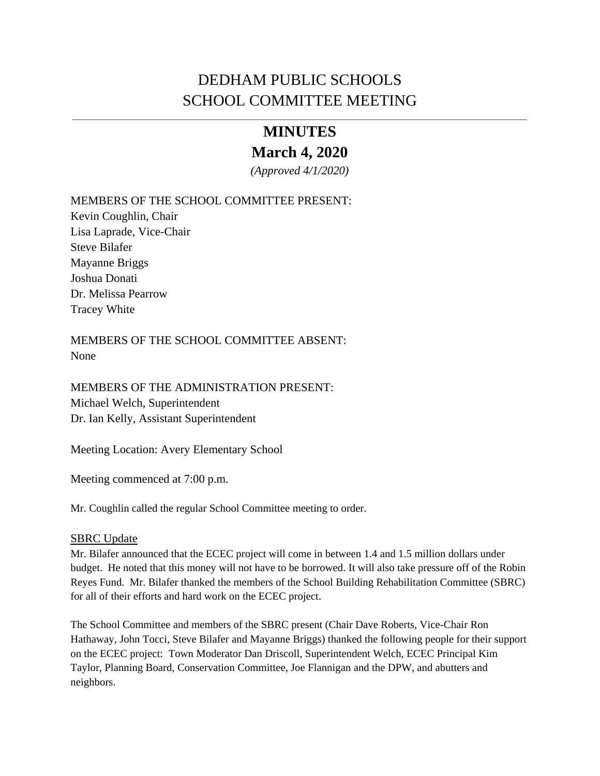# DEDHAM PUBLIC SCHOOLS SCHOOL COMMITTEE MEETING

# **MINUTES**

# **March 4, 2020**

*(Approved 4/1/2020)* 

### MEMBERS OF THE SCHOOL COMMITTEE PRESENT:

Kevin Coughlin, Chair Lisa Laprade, Vice-Chair Steve Bilafer Mayanne Briggs Joshua Donati Dr. Melissa Pearrow Tracey White

MEMBERS OF THE SCHOOL COMMITTEE ABSENT: None

MEMBERS OF THE ADMINISTRATION PRESENT: Michael Welch, Superintendent Dr. Ian Kelly, Assistant Superintendent

Meeting Location: Avery Elementary School

Meeting commenced at 7:00 p.m.

Mr. Coughlin called the regular School Committee meeting to order.

#### SBRC Update

Mr. Bilafer announced that the ECEC project will come in between 1.4 and 1.5 million dollars under budget. He noted that this money will not have to be borrowed. It will also take pressure off of the Robin Reyes Fund. Mr. Bilafer thanked the members of the School Building Rehabilitation Committee (SBRC) for all of their efforts and hard work on the ECEC project.

The School Committee and members of the SBRC present (Chair Dave Roberts, Vice-Chair Ron Hathaway, John Tocci, Steve Bilafer and Mayanne Briggs) thanked the following people for their support on the ECEC project: Town Moderator Dan Driscoll, Superintendent Welch, ECEC Principal Kim Taylor, Planning Board, Conservation Committee, Joe Flannigan and the DPW, and abutters and neighbors.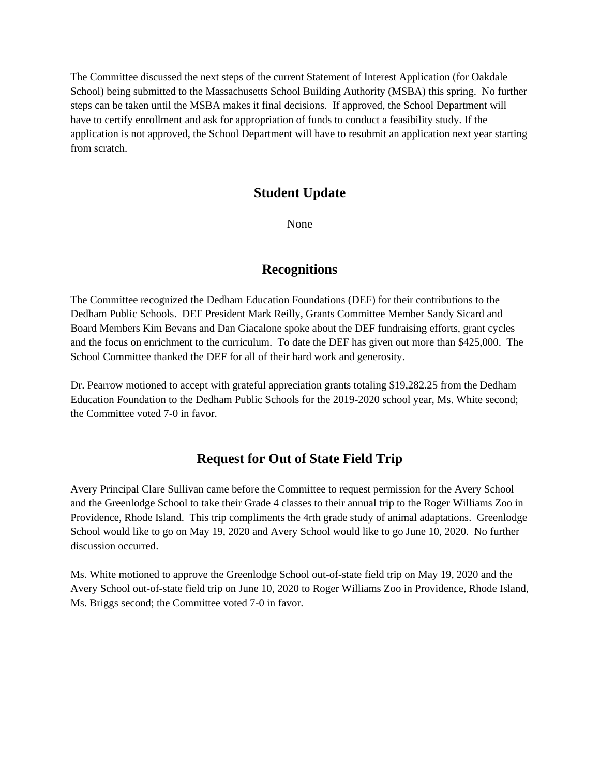The Committee discussed the next steps of the current Statement of Interest Application (for Oakdale School) being submitted to the Massachusetts School Building Authority (MSBA) this spring. No further steps can be taken until the MSBA makes it final decisions. If approved, the School Department will have to certify enrollment and ask for appropriation of funds to conduct a feasibility study. If the application is not approved, the School Department will have to resubmit an application next year starting from scratch.

### **Student Update**

None

### **Recognitions**

The Committee recognized the Dedham Education Foundations (DEF) for their contributions to the Dedham Public Schools. DEF President Mark Reilly, Grants Committee Member Sandy Sicard and Board Members Kim Bevans and Dan Giacalone spoke about the DEF fundraising efforts, grant cycles and the focus on enrichment to the curriculum. To date the DEF has given out more than \$425,000. The School Committee thanked the DEF for all of their hard work and generosity.

Dr. Pearrow motioned to accept with grateful appreciation grants totaling \$19,282.25 from the Dedham Education Foundation to the Dedham Public Schools for the 2019-2020 school year, Ms. White second; the Committee voted 7-0 in favor.

### **Request for Out of State Field Trip**

Avery Principal Clare Sullivan came before the Committee to request permission for the Avery School and the Greenlodge School to take their Grade 4 classes to their annual trip to the Roger Williams Zoo in Providence, Rhode Island. This trip compliments the 4rth grade study of animal adaptations. Greenlodge School would like to go on May 19, 2020 and Avery School would like to go June 10, 2020. No further discussion occurred.

Ms. White motioned to approve the Greenlodge School out-of-state field trip on May 19, 2020 and the Avery School out-of-state field trip on June 10, 2020 to Roger Williams Zoo in Providence, Rhode Island, Ms. Briggs second; the Committee voted 7-0 in favor.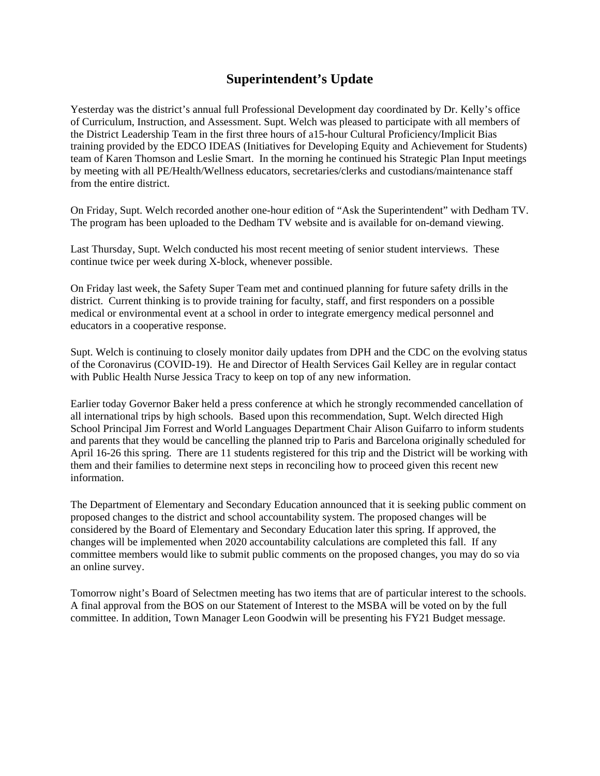### **Superintendent's Update**

Yesterday was the district's annual full Professional Development day coordinated by Dr. Kelly's office of Curriculum, Instruction, and Assessment. Supt. Welch was pleased to participate with all members of the District Leadership Team in the first three hours of a15-hour Cultural Proficiency/Implicit Bias training provided by the EDCO IDEAS (Initiatives for Developing Equity and Achievement for Students) team of Karen Thomson and Leslie Smart. In the morning he continued his Strategic Plan Input meetings by meeting with all PE/Health/Wellness educators, secretaries/clerks and custodians/maintenance staff from the entire district.

On Friday, Supt. Welch recorded another one-hour [edition of "Ask the Superintendent"](http://50.77.30.238/CablecastPublicSite/show/1590?channel=2) with Dedham TV. The program has been uploaded to the Dedham TV website and is available for on-demand viewing.

Last Thursday, Supt. Welch conducted his most recent meeting of senior student interviews. These continue twice per week during X-block, whenever possible.

On Friday last week, the Safety Super Team met and continued planning for future safety drills in the district. Current thinking is to provide training for faculty, staff, and first responders on a possible medical or environmental event at a school in order to integrate emergency medical personnel and educators in a cooperative response.

Supt. Welch is continuing to closely monitor daily updates from DPH and the CDC on the evolving status of the Coronavirus (COVID-19). He and Director of Health Services Gail Kelley are in regular contact with Public Health Nurse Jessica Tracy to keep on top of any new information.

Earlier today Governor Baker held a press conference at which he strongly recommended cancellation of all international trips by high schools. Based upon this recommendation, Supt. Welch directed High School Principal Jim Forrest and World Languages Department Chair Alison Guifarro to inform students and parents that they would be cancelling the planned trip to Paris and Barcelona originally scheduled for April 16-26 this spring. There are 11 students registered for this trip and the District will be working with them and their families to determine next steps in reconciling how to proceed given this recent new information.

The Department of Elementary and Secondary Education announced that it is seeking public comment on proposed changes to the district and school accountability system. The proposed changes will be considered by the Board of Elementary and Secondary Education later this spring. If approved, the changes will be implemented when 2020 accountability calculations are completed this fall. If any committee members would like to submit public comments on the proposed changes, you may do so via an online survey.

Tomorrow night's Board of Selectmen meeting has two items that are of particular interest to the schools. A final approval from the BOS on our Statement of Interest to the MSBA will be voted on by the full committee. In addition, Town Manager Leon Goodwin will be presenting his FY21 Budget message.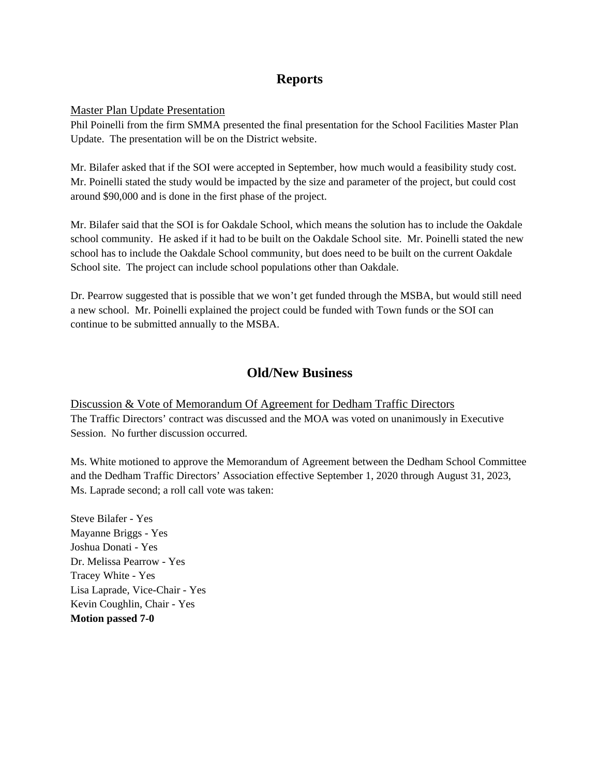# **Reports**

#### Master Plan Update Presentation

Phil Poinelli from the firm SMMA presented the final presentation for the School Facilities Master Plan Update. The presentation will be on the District website.

Mr. Bilafer asked that if the SOI were accepted in September, how much would a feasibility study cost. Mr. Poinelli stated the study would be impacted by the size and parameter of the project, but could cost around \$90,000 and is done in the first phase of the project.

Mr. Bilafer said that the SOI is for Oakdale School, which means the solution has to include the Oakdale school community. He asked if it had to be built on the Oakdale School site. Mr. Poinelli stated the new school has to include the Oakdale School community, but does need to be built on the current Oakdale School site. The project can include school populations other than Oakdale.

Dr. Pearrow suggested that is possible that we won't get funded through the MSBA, but would still need a new school. Mr. Poinelli explained the project could be funded with Town funds or the SOI can continue to be submitted annually to the MSBA.

## **Old/New Business**

Discussion & Vote of Memorandum Of Agreement for Dedham Traffic Directors The Traffic Directors' contract was discussed and the MOA was voted on unanimously in Executive Session. No further discussion occurred.

Ms. White motioned to approve the Memorandum of Agreement between the Dedham School Committee and the Dedham Traffic Directors' Association effective September 1, 2020 through August 31, 2023, Ms. Laprade second; a roll call vote was taken:

Steve Bilafer - Yes Mayanne Briggs - Yes Joshua Donati - Yes Dr. Melissa Pearrow - Yes Tracey White - Yes Lisa Laprade, Vice-Chair - Yes Kevin Coughlin, Chair - Yes **Motion passed 7-0**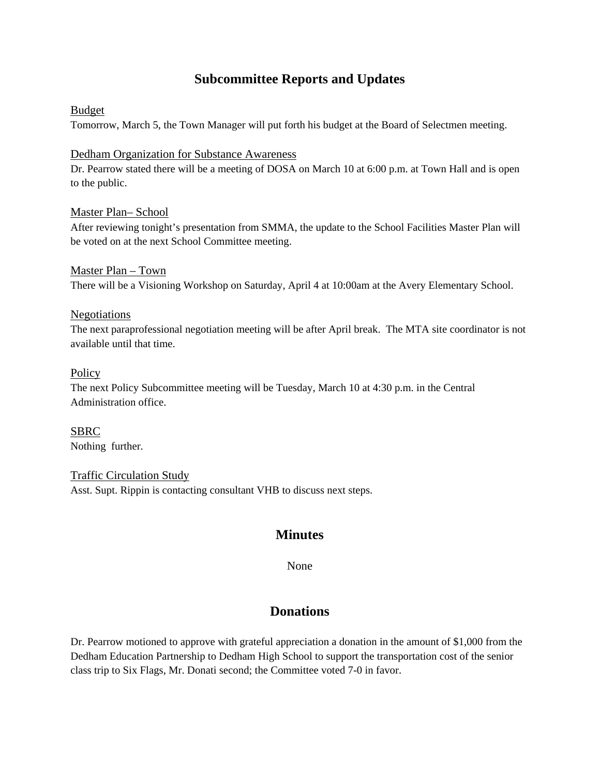# **Subcommittee Reports and Updates**

### Budget

Tomorrow, March 5, the Town Manager will put forth his budget at the Board of Selectmen meeting.

#### Dedham Organization for Substance Awareness

Dr. Pearrow stated there will be a meeting of DOSA on March 10 at 6:00 p.m. at Town Hall and is open to the public.

#### Master Plan– School

After reviewing tonight's presentation from SMMA, the update to the School Facilities Master Plan will be voted on at the next School Committee meeting.

Master Plan – Town There will be a Visioning Workshop on Saturday, April 4 at 10:00am at the Avery Elementary School.

#### Negotiations

The next paraprofessional negotiation meeting will be after April break. The MTA site coordinator is not available until that time.

#### **Policy**

The next Policy Subcommittee meeting will be Tuesday, March 10 at 4:30 p.m. in the Central Administration office.

SBRC Nothing further.

Traffic Circulation Study Asst. Supt. Rippin is contacting consultant VHB to discuss next steps.

## **Minutes**

None

## **Donations**

Dr. Pearrow motioned to approve with grateful appreciation a donation in the amount of \$1,000 from the Dedham Education Partnership to Dedham High School to support the transportation cost of the senior class trip to Six Flags, Mr. Donati second; the Committee voted 7-0 in favor.